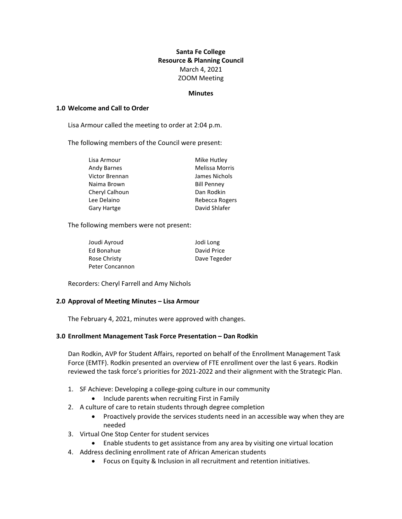# **Santa Fe College Resource & Planning Council** March 4, 2021 ZOOM Meeting

#### **Minutes**

#### **1.0 Welcome and Call to Order**

Lisa Armour called the meeting to order at 2:04 p.m.

The following members of the Council were present:

| Lisa Armour        | Mike Hutley           |
|--------------------|-----------------------|
| <b>Andy Barnes</b> | <b>Melissa Morris</b> |
| Victor Brennan     | James Nichols         |
| Naima Brown        | <b>Bill Penney</b>    |
| Cheryl Calhoun     | Dan Rodkin            |
| Lee Delaino        | Rebecca Rogers        |
| <b>Gary Hartge</b> | David Shlafer         |

The following members were not present:

| Joudi Ayroud    | Jodi Long    |
|-----------------|--------------|
| Ed Bonahue      | David Price  |
| Rose Christy    | Dave Tegeder |
| Peter Concannon |              |

Recorders: Cheryl Farrell and Amy Nichols

#### **2.0 Approval of Meeting Minutes – Lisa Armour**

The February 4, 2021, minutes were approved with changes.

#### **3.0 Enrollment Management Task Force Presentation – Dan Rodkin**

Dan Rodkin, AVP for Student Affairs, reported on behalf of the Enrollment Management Task Force (EMTF). Rodkin presented an overview of FTE enrollment over the last 6 years. Rodkin reviewed the task force's priorities for 2021-2022 and their alignment with the Strategic Plan.

- 1. SF Achieve: Developing a college-going culture in our community
	- Include parents when recruiting First in Family
- 2. A culture of care to retain students through degree completion
	- Proactively provide the services students need in an accessible way when they are needed
- 3. Virtual One Stop Center for student services
	- Enable students to get assistance from any area by visiting one virtual location
- 4. Address declining enrollment rate of African American students
	- Focus on Equity & Inclusion in all recruitment and retention initiatives.